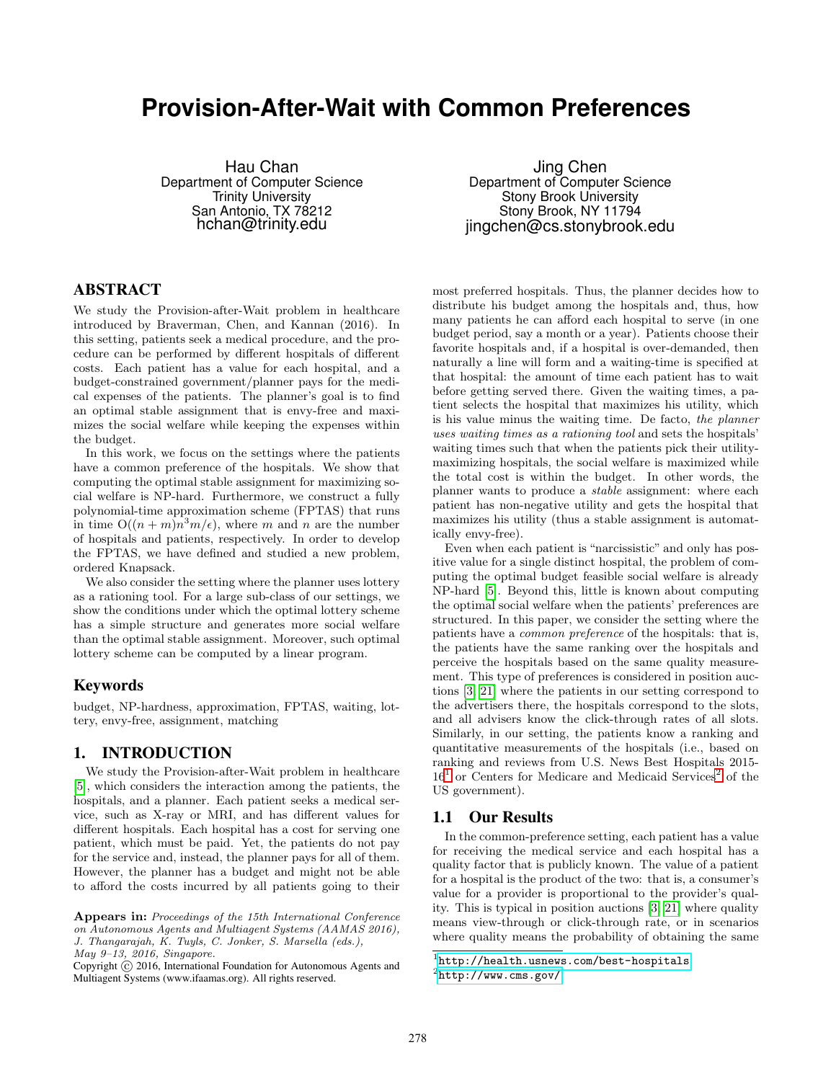# **Provision-After-Wait with Common Preferences**

Hau Chan Department of Computer Science Trinity University San Antonio, TX 78212 hchan@trinity.edu

# ABSTRACT

We study the Provision-after-Wait problem in healthcare introduced by Braverman, Chen, and Kannan (2016). In this setting, patients seek a medical procedure, and the procedure can be performed by different hospitals of different costs. Each patient has a value for each hospital, and a budget-constrained government/planner pays for the medical expenses of the patients. The planner's goal is to find an optimal stable assignment that is envy-free and maximizes the social welfare while keeping the expenses within the budget.

In this work, we focus on the settings where the patients have a common preference of the hospitals. We show that computing the optimal stable assignment for maximizing social welfare is NP-hard. Furthermore, we construct a fully polynomial-time approximation scheme (FPTAS) that runs in time  $O((n+m)n^3m/\epsilon)$ , where m and n are the number of hospitals and patients, respectively. In order to develop the FPTAS, we have defined and studied a new problem, ordered Knapsack.

We also consider the setting where the planner uses lottery as a rationing tool. For a large sub-class of our settings, we show the conditions under which the optimal lottery scheme has a simple structure and generates more social welfare than the optimal stable assignment. Moreover, such optimal lottery scheme can be computed by a linear program.

## Keywords

budget, NP-hardness, approximation, FPTAS, waiting, lottery, envy-free, assignment, matching

# 1. INTRODUCTION

We study the Provision-after-Wait problem in healthcare [\[5\]](#page-8-0), which considers the interaction among the patients, the hospitals, and a planner. Each patient seeks a medical service, such as X-ray or MRI, and has different values for different hospitals. Each hospital has a cost for serving one patient, which must be paid. Yet, the patients do not pay for the service and, instead, the planner pays for all of them. However, the planner has a budget and might not be able to afford the costs incurred by all patients going to their

Jing Chen Department of Computer Science Stony Brook University Stony Brook, NY 11794 jingchen@cs.stonybrook.edu

most preferred hospitals. Thus, the planner decides how to distribute his budget among the hospitals and, thus, how many patients he can afford each hospital to serve (in one budget period, say a month or a year). Patients choose their favorite hospitals and, if a hospital is over-demanded, then naturally a line will form and a waiting-time is specified at that hospital: the amount of time each patient has to wait before getting served there. Given the waiting times, a patient selects the hospital that maximizes his utility, which is his value minus the waiting time. De facto, the planner uses waiting times as a rationing tool and sets the hospitals' waiting times such that when the patients pick their utilitymaximizing hospitals, the social welfare is maximized while the total cost is within the budget. In other words, the planner wants to produce a stable assignment: where each patient has non-negative utility and gets the hospital that maximizes his utility (thus a stable assignment is automatically envy-free).

Even when each patient is "narcissistic" and only has positive value for a single distinct hospital, the problem of computing the optimal budget feasible social welfare is already NP-hard [\[5\]](#page-8-0). Beyond this, little is known about computing the optimal social welfare when the patients' preferences are structured. In this paper, we consider the setting where the patients have a common preference of the hospitals: that is, the patients have the same ranking over the hospitals and perceive the hospitals based on the same quality measurement. This type of preferences is considered in position auctions [\[3,](#page-8-1) [21\]](#page-8-2) where the patients in our setting correspond to the advertisers there, the hospitals correspond to the slots, and all advisers know the click-through rates of all slots. Similarly, in our setting, the patients know a ranking and quantitative measurements of the hospitals (i.e., based on ranking and reviews from U.S. News Best Hospitals 2015-  $16<sup>1</sup>$  $16<sup>1</sup>$  or Centers for Medicare and Medicaid Services<sup>[2](#page-0-1)</sup> of the US government).

## 1.1 Our Results

In the common-preference setting, each patient has a value for receiving the medical service and each hospital has a quality factor that is publicly known. The value of a patient for a hospital is the product of the two: that is, a consumer's value for a provider is proportional to the provider's quality. This is typical in position auctions [\[3,](#page-8-1) [21\]](#page-8-2) where quality means view-through or click-through rate, or in scenarios where quality means the probability of obtaining the same

Appears in: Proceedings of the 15th International Conference on Autonomous Agents and Multiagent Systems (AAMAS 2016), J. Thangarajah, K. Tuyls, C. Jonker, S. Marsella (eds.), May 9–13, 2016, Singapore.

Copyright (C) 2016, International Foundation for Autonomous Agents and Multiagent Systems (www.ifaamas.org). All rights reserved.

<span id="page-0-1"></span><span id="page-0-0"></span> $1$ <http://health.usnews.com/best-hospitals>  $^{2}$ <http://www.cms.gov/>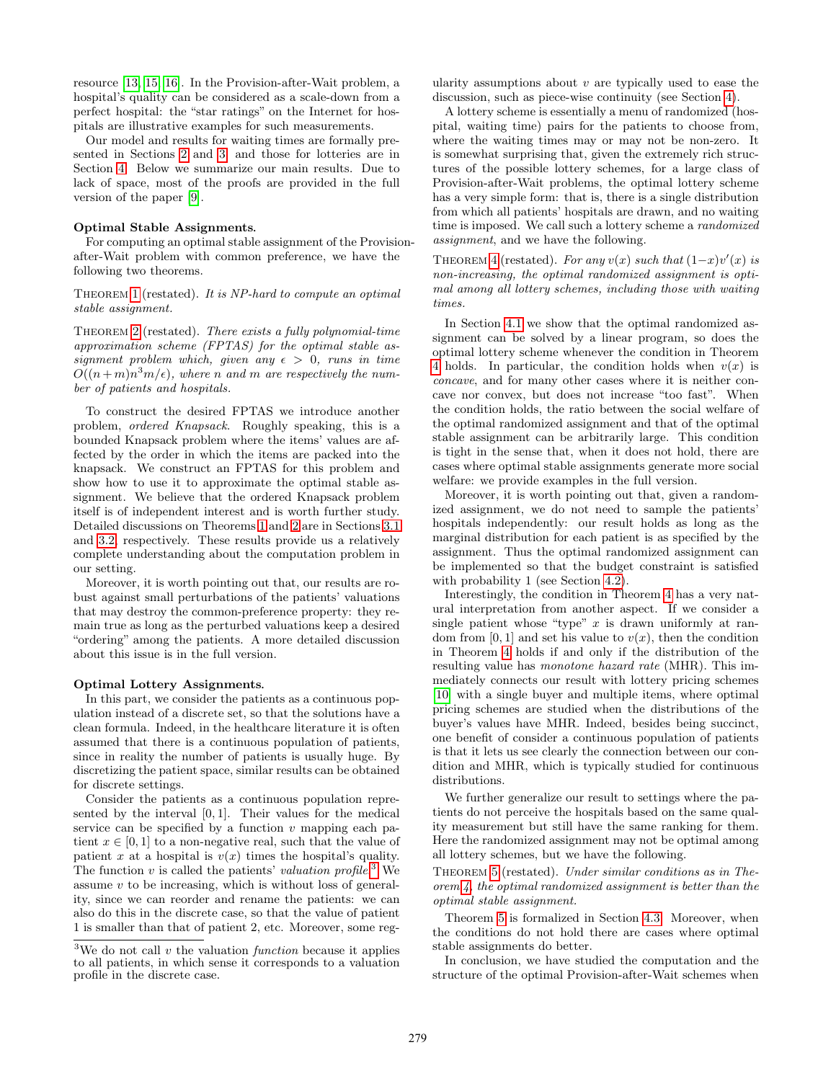resource [\[13,](#page-8-3) [15,](#page-8-4) [16\]](#page-8-5). In the Provision-after-Wait problem, a hospital's quality can be considered as a scale-down from a perfect hospital: the "star ratings" on the Internet for hospitals are illustrative examples for such measurements.

Our model and results for waiting times are formally presented in Sections [2](#page-2-0) and [3,](#page-3-0) and those for lotteries are in Section [4.](#page-5-0) Below we summarize our main results. Due to lack of space, most of the proofs are provided in the full version of the paper [\[9\]](#page-8-6).

#### Optimal Stable Assignments*.*

For computing an optimal stable assignment of the Provisionafter-Wait problem with common preference, we have the following two theorems.

THEOREM [1](#page-3-1) (restated). It is NP-hard to compute an optimal stable assignment.

Theorem [2](#page-4-0) (restated). There exists a fully polynomial-time approximation scheme (FPTAS) for the optimal stable assignment problem which, given any  $\epsilon > 0$ , runs in time  $O((n+m)n^3m/\epsilon)$ , where n and m are respectively the number of patients and hospitals.

To construct the desired FPTAS we introduce another problem, ordered Knapsack. Roughly speaking, this is a bounded Knapsack problem where the items' values are affected by the order in which the items are packed into the knapsack. We construct an FPTAS for this problem and show how to use it to approximate the optimal stable assignment. We believe that the ordered Knapsack problem itself is of independent interest and is worth further study. Detailed discussions on Theorems [1](#page-3-1) and [2](#page-4-0) are in Sections [3.1](#page-3-2) and [3.2,](#page-4-1) respectively. These results provide us a relatively complete understanding about the computation problem in our setting.

Moreover, it is worth pointing out that, our results are robust against small perturbations of the patients' valuations that may destroy the common-preference property: they remain true as long as the perturbed valuations keep a desired "ordering" among the patients. A more detailed discussion about this issue is in the full version.

#### Optimal Lottery Assignments*.*

In this part, we consider the patients as a continuous population instead of a discrete set, so that the solutions have a clean formula. Indeed, in the healthcare literature it is often assumed that there is a continuous population of patients, since in reality the number of patients is usually huge. By discretizing the patient space, similar results can be obtained for discrete settings.

Consider the patients as a continuous population represented by the interval  $[0, 1]$ . Their values for the medical service can be specified by a function  $v$  mapping each patient  $x \in [0, 1]$  to a non-negative real, such that the value of patient x at a hospital is  $v(x)$  times the hospital's quality. The function v is called the patients' valuation profile.<sup>[3](#page-1-0)</sup> We assume  $v$  to be increasing, which is without loss of generality, since we can reorder and rename the patients: we can also do this in the discrete case, so that the value of patient 1 is smaller than that of patient 2, etc. Moreover, some regularity assumptions about  $v$  are typically used to ease the discussion, such as piece-wise continuity (see Section [4\)](#page-5-0).

A lottery scheme is essentially a menu of randomized (hospital, waiting time) pairs for the patients to choose from, where the waiting times may or may not be non-zero. It is somewhat surprising that, given the extremely rich structures of the possible lottery schemes, for a large class of Provision-after-Wait problems, the optimal lottery scheme has a very simple form: that is, there is a single distribution from which all patients' hospitals are drawn, and no waiting time is imposed. We call such a lottery scheme a randomized assignment, and we have the following.

THEOREM [4](#page-6-0) (restated). For any  $v(x)$  such that  $(1-x)v'(x)$  is non-increasing, the optimal randomized assignment is optimal among all lottery schemes, including those with waiting times.

In Section [4.1](#page-6-1) we show that the optimal randomized assignment can be solved by a linear program, so does the optimal lottery scheme whenever the condition in Theorem [4](#page-6-0) holds. In particular, the condition holds when  $v(x)$  is concave, and for many other cases where it is neither concave nor convex, but does not increase "too fast". When the condition holds, the ratio between the social welfare of the optimal randomized assignment and that of the optimal stable assignment can be arbitrarily large. This condition is tight in the sense that, when it does not hold, there are cases where optimal stable assignments generate more social welfare: we provide examples in the full version.

Moreover, it is worth pointing out that, given a randomized assignment, we do not need to sample the patients' hospitals independently: our result holds as long as the marginal distribution for each patient is as specified by the assignment. Thus the optimal randomized assignment can be implemented so that the budget constraint is satisfied with probability 1 (see Section [4.2\)](#page-6-2).

Interestingly, the condition in Theorem [4](#page-6-0) has a very natural interpretation from another aspect. If we consider a single patient whose "type"  $x$  is drawn uniformly at random from [0, 1] and set his value to  $v(x)$ , then the condition in Theorem [4](#page-6-0) holds if and only if the distribution of the resulting value has monotone hazard rate (MHR). This immediately connects our result with lottery pricing schemes [\[10\]](#page-8-7) with a single buyer and multiple items, where optimal pricing schemes are studied when the distributions of the buyer's values have MHR. Indeed, besides being succinct, one benefit of consider a continuous population of patients is that it lets us see clearly the connection between our condition and MHR, which is typically studied for continuous distributions.

We further generalize our result to settings where the patients do not perceive the hospitals based on the same quality measurement but still have the same ranking for them. Here the randomized assignment may not be optimal among all lottery schemes, but we have the following.

THEOREM [5](#page-7-0) (restated). Under similar conditions as in Theorem [4,](#page-6-0) the optimal randomized assignment is better than the optimal stable assignment.

Theorem [5](#page-7-0) is formalized in Section [4.3.](#page-7-1) Moreover, when the conditions do not hold there are cases where optimal stable assignments do better.

In conclusion, we have studied the computation and the structure of the optimal Provision-after-Wait schemes when

<span id="page-1-0"></span><sup>&</sup>lt;sup>3</sup>We do not call  $v$  the valuation *function* because it applies to all patients, in which sense it corresponds to a valuation profile in the discrete case.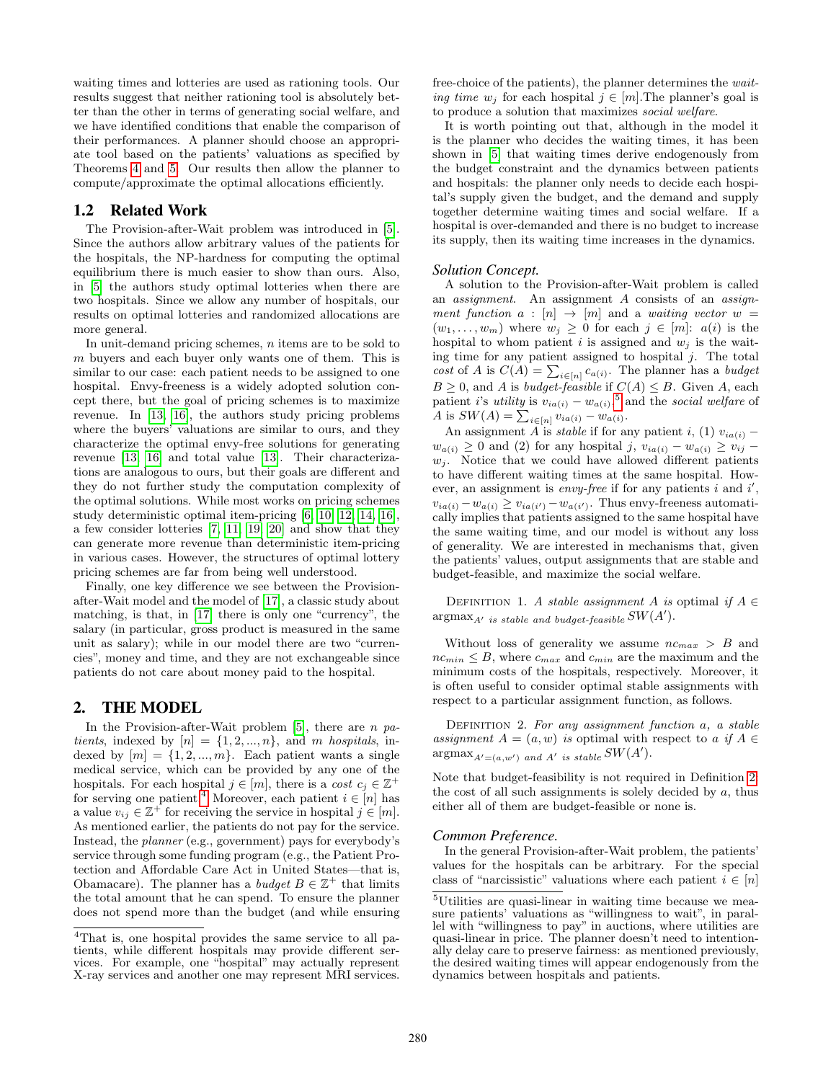waiting times and lotteries are used as rationing tools. Our results suggest that neither rationing tool is absolutely better than the other in terms of generating social welfare, and we have identified conditions that enable the comparison of their performances. A planner should choose an appropriate tool based on the patients' valuations as specified by Theorems [4](#page-6-0) and [5.](#page-7-0) Our results then allow the planner to compute/approximate the optimal allocations efficiently.

## 1.2 Related Work

The Provision-after-Wait problem was introduced in [\[5\]](#page-8-0). Since the authors allow arbitrary values of the patients for the hospitals, the NP-hardness for computing the optimal equilibrium there is much easier to show than ours. Also, in [\[5\]](#page-8-0) the authors study optimal lotteries when there are two hospitals. Since we allow any number of hospitals, our results on optimal lotteries and randomized allocations are more general.

In unit-demand pricing schemes,  $n$  items are to be sold to  $m$  buyers and each buyer only wants one of them. This is similar to our case: each patient needs to be assigned to one hospital. Envy-freeness is a widely adopted solution concept there, but the goal of pricing schemes is to maximize revenue. In [\[13,](#page-8-3) [16\]](#page-8-5), the authors study pricing problems where the buyers' valuations are similar to ours, and they characterize the optimal envy-free solutions for generating revenue [\[13,](#page-8-3) [16\]](#page-8-5) and total value [\[13\]](#page-8-3). Their characterizations are analogous to ours, but their goals are different and they do not further study the computation complexity of the optimal solutions. While most works on pricing schemes study deterministic optimal item-pricing [\[6,](#page-8-8) [10,](#page-8-7) [12,](#page-8-9) [14,](#page-8-10) [16\]](#page-8-5), a few consider lotteries [\[7,](#page-8-11) [11,](#page-8-12) [19,](#page-8-13) [20\]](#page-8-14) and show that they can generate more revenue than deterministic item-pricing in various cases. However, the structures of optimal lottery pricing schemes are far from being well understood.

Finally, one key difference we see between the Provisionafter-Wait model and the model of [\[17\]](#page-8-15), a classic study about matching, is that, in [\[17\]](#page-8-15) there is only one "currency", the salary (in particular, gross product is measured in the same unit as salary); while in our model there are two "currencies", money and time, and they are not exchangeable since patients do not care about money paid to the hospital.

## <span id="page-2-0"></span>2. THE MODEL

In the Provision-after-Wait problem  $[5]$ , there are n patients, indexed by  $[n] = \{1, 2, ..., n\}$ , and m hospitals, indexed by  $[m] = \{1, 2, ..., m\}$ . Each patient wants a single medical service, which can be provided by any one of the hospitals. For each hospital  $j \in [m]$ , there is a cost  $c_j \in \mathbb{Z}^+$ for serving one patient.<sup>[4](#page-2-1)</sup> Moreover, each patient  $i \in [n]$  has a value  $v_{ij} \in \mathbb{Z}^+$  for receiving the service in hospital  $j \in [m]$ . As mentioned earlier, the patients do not pay for the service. Instead, the planner (e.g., government) pays for everybody's service through some funding program (e.g., the Patient Protection and Affordable Care Act in United States—that is, Obamacare). The planner has a *budget*  $B \in \mathbb{Z}^+$  that limits the total amount that he can spend. To ensure the planner does not spend more than the budget (and while ensuring free-choice of the patients), the planner determines the waiting time  $w_i$  for each hospital  $j \in [m]$ . The planner's goal is to produce a solution that maximizes social welfare.

It is worth pointing out that, although in the model it is the planner who decides the waiting times, it has been shown in [\[5\]](#page-8-0) that waiting times derive endogenously from the budget constraint and the dynamics between patients and hospitals: the planner only needs to decide each hospital's supply given the budget, and the demand and supply together determine waiting times and social welfare. If a hospital is over-demanded and there is no budget to increase its supply, then its waiting time increases in the dynamics.

#### *Solution Concept.*

A solution to the Provision-after-Wait problem is called an assignment. An assignment A consists of an assignment function  $a : [n] \rightarrow [m]$  and a waiting vector  $w =$  $(w_1, \ldots, w_m)$  where  $w_i \geq 0$  for each  $j \in [m]:$   $a(i)$  is the hospital to whom patient i is assigned and  $w_i$  is the waiting time for any patient assigned to hospital  $i$ . The total cost of A is  $C(A) = \sum_{i \in [n]} c_{a(i)}$ . The planner has a budget  $B \geq 0$ , and A is budget-feasible if  $C(A) \leq B$ . Given A, each patient *i*'s *utility* is  $v_{ia(i)} - w_{a(i)}$ ,<sup>[5](#page-2-2)</sup> and the *social welfare* of A is  $SW(A) = \sum_{i \in [n]} v_{ia(i)} - w_{a(i)}$ .

An assignment A is *stable* if for any patient i, (1)  $v_{ia(i)}$  –  $w_{a(i)} \geq 0$  and (2) for any hospital j,  $v_{ia(i)} - w_{a(i)} \geq v_{ii}$  $w_i$ . Notice that we could have allowed different patients to have different waiting times at the same hospital. However, an assignment is *envy-free* if for any patients  $i$  and  $i'$ ,  $v_{ia(i)} - w_{a(i)} \ge v_{ia(i')} - w_{a(i')}$ . Thus envy-freeness automatically implies that patients assigned to the same hospital have the same waiting time, and our model is without any loss of generality. We are interested in mechanisms that, given the patients' values, output assignments that are stable and budget-feasible, and maximize the social welfare.

DEFINITION 1. A stable assignment A is optimal if  $A \in$  $\operatorname{argmax}_{A'}$  is stable and budget-feasible  $SW(A').$ 

Without loss of generality we assume  $nc_{max} > B$  and  $nc_{min} \leq B$ , where  $c_{max}$  and  $c_{min}$  are the maximum and the minimum costs of the hospitals, respectively. Moreover, it is often useful to consider optimal stable assignments with respect to a particular assignment function, as follows.

<span id="page-2-3"></span>DEFINITION 2. For any assignment function  $a$ ,  $a$  stable assignment  $A = (a, w)$  is optimal with respect to a if  $A \in$  $\operatorname{argmax}_{A'=(a,w')}$  and  $A'$  is stable  $SW(A')$ .

Note that budget-feasibility is not required in Definition [2:](#page-2-3) the cost of all such assignments is solely decided by  $a$ , thus either all of them are budget-feasible or none is.

## *Common Preference.*

In the general Provision-after-Wait problem, the patients' values for the hospitals can be arbitrary. For the special class of "narcissistic" valuations where each patient  $i \in [n]$ 

<span id="page-2-1"></span><sup>&</sup>lt;sup>4</sup>That is, one hospital provides the same service to all patients, while different hospitals may provide different services. For example, one "hospital" may actually represent X-ray services and another one may represent MRI services.

<span id="page-2-2"></span> $^{5}$  Utilities are quasi-linear in waiting time because we measure patients' valuations as "willingness to wait", in parallel with "willingness to pay" in auctions, where utilities are quasi-linear in price. The planner doesn't need to intentionally delay care to preserve fairness: as mentioned previously, the desired waiting times will appear endogenously from the dynamics between hospitals and patients.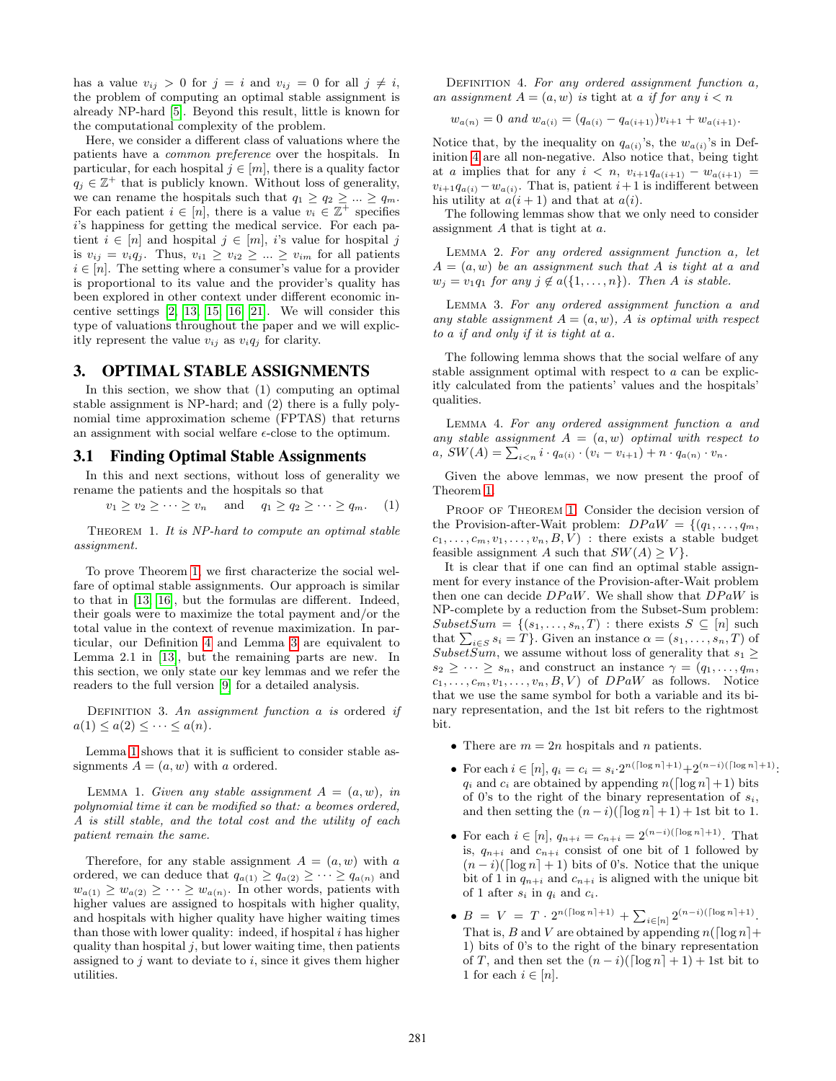has a value  $v_{ij} > 0$  for  $j = i$  and  $v_{ij} = 0$  for all  $j \neq i$ , the problem of computing an optimal stable assignment is already NP-hard [\[5\]](#page-8-0). Beyond this result, little is known for the computational complexity of the problem.

Here, we consider a different class of valuations where the patients have a common preference over the hospitals. In particular, for each hospital  $j \in [m]$ , there is a quality factor  $q_j \in \mathbb{Z}^+$  that is publicly known. Without loss of generality, we can rename the hospitals such that  $q_1 \geq q_2 \geq ... \geq q_m$ . For each patient  $i \in [n]$ , there is a value  $v_i \in \mathbb{Z}^+$  specifies i's happiness for getting the medical service. For each patient  $i \in [n]$  and hospital  $j \in [m]$ , is value for hospital j is  $v_{ij} = v_i q_j$ . Thus,  $v_{i1} \ge v_{i2} \ge ... \ge v_{im}$  for all patients  $i \in [n]$ . The setting where a consumer's value for a provider is proportional to its value and the provider's quality has been explored in other context under different economic incentive settings [\[2,](#page-8-16) [13,](#page-8-3) [15,](#page-8-4) [16,](#page-8-5) [21\]](#page-8-2). We will consider this type of valuations throughout the paper and we will explicitly represent the value  $v_{ij}$  as  $v_i q_j$  for clarity.

## <span id="page-3-0"></span>3. OPTIMAL STABLE ASSIGNMENTS

In this section, we show that (1) computing an optimal stable assignment is NP-hard; and (2) there is a fully polynomial time approximation scheme (FPTAS) that returns an assignment with social welfare  $\epsilon$ -close to the optimum.

## <span id="page-3-2"></span>3.1 Finding Optimal Stable Assignments

In this and next sections, without loss of generality we rename the patients and the hospitals so that

<span id="page-3-6"></span>
$$
v_1 \ge v_2 \ge \dots \ge v_n \quad \text{and} \quad q_1 \ge q_2 \ge \dots \ge q_m. \quad (1)
$$

<span id="page-3-1"></span>Theorem 1. It is NP-hard to compute an optimal stable assignment.

To prove Theorem [1,](#page-3-1) we first characterize the social welfare of optimal stable assignments. Our approach is similar to that in [\[13,](#page-8-3) [16\]](#page-8-5), but the formulas are different. Indeed, their goals were to maximize the total payment and/or the total value in the context of revenue maximization. In particular, our Definition [4](#page-3-3) and Lemma [3](#page-3-4) are equivalent to Lemma 2.1 in [\[13\]](#page-8-3), but the remaining parts are new. In this section, we only state our key lemmas and we refer the readers to the full version [\[9\]](#page-8-6) for a detailed analysis.

DEFINITION 3. An assignment function  $a$  is ordered if  $a(1) \leq a(2) \leq \cdots \leq a(n).$ 

Lemma [1](#page-3-5) shows that it is sufficient to consider stable assignments  $A = (a, w)$  with a ordered.

<span id="page-3-5"></span>LEMMA 1. Given any stable assignment  $A = (a, w)$ , in polynomial time it can be modified so that: a beomes ordered, A is still stable, and the total cost and the utility of each patient remain the same.

<span id="page-3-3"></span>Therefore, for any stable assignment  $A = (a, w)$  with a ordered, we can deduce that  $q_{a(1)} \geq q_{a(2)} \geq \cdots \geq q_{a(n)}$  and  $w_{a(1)} \geq w_{a(2)} \geq \cdots \geq w_{a(n)}$ . In other words, patients with higher values are assigned to hospitals with higher quality, and hospitals with higher quality have higher waiting times than those with lower quality: indeed, if hospital  $i$  has higher quality than hospital  $j$ , but lower waiting time, then patients assigned to  $j$  want to deviate to  $i$ , since it gives them higher utilities.

DEFINITION 4. For any ordered assignment function  $a$ , an assignment  $A = (a, w)$  is tight at a if for any  $i < n$ 

$$
w_{a(n)} = 0
$$
 and  $w_{a(i)} = (q_{a(i)} - q_{a(i+1)})v_{i+1} + w_{a(i+1)}$ .

Notice that, by the inequality on  $q_{a(i)}$ 's, the  $w_{a(i)}$ 's in Definition [4](#page-3-3) are all non-negative. Also notice that, being tight at a implies that for any  $i \langle n, v_{i+1}q_{a(i+1)} - w_{a(i+1)} \rangle =$  $v_{i+1}q_{a(i)} - w_{a(i)}$ . That is, patient  $i+1$  is indifferent between his utility at  $a(i + 1)$  and that at  $a(i)$ .

The following lemmas show that we only need to consider assignment A that is tight at a.

<span id="page-3-8"></span>Lemma 2. For any ordered assignment function a, let  $A = (a, w)$  be an assignment such that A is tight at a and  $w_j = v_1q_1$  for any  $j \notin a({1, \ldots, n})$ . Then A is stable.

<span id="page-3-4"></span>Lemma 3. For any ordered assignment function a and any stable assignment  $A = (a, w)$ , A is optimal with respect to a if and only if it is tight at a.

The following lemma shows that the social welfare of any stable assignment optimal with respect to a can be explicitly calculated from the patients' values and the hospitals' qualities.

<span id="page-3-7"></span>Lemma 4. For any ordered assignment function a and any stable assignment  $A = (a, w)$  optimal with respect to  $a, SW(A) = \sum_{i \leq n} i \cdot q_{a(i)} \cdot (v_i - v_{i+1}) + n \cdot q_{a(n)} \cdot v_n.$ 

Given the above lemmas, we now present the proof of Theorem [1.](#page-3-1)

PROOF OF THEOREM [1.](#page-3-1) Consider the decision version of the Provision-after-Wait problem:  $DPaW = \{(q_1, \ldots, q_m,$  $c_1, \ldots, c_m, v_1, \ldots, v_n, B, V$  : there exists a stable budget feasible assignment A such that  $SW(A) \geq V$ .

It is clear that if one can find an optimal stable assignment for every instance of the Provision-after-Wait problem then one can decide  $DPaW$ . We shall show that  $DPaW$  is NP-complete by a reduction from the Subset-Sum problem:  $SubsetSum = \{(s_1, \ldots, s_n, T) : \text{there exists } S \subseteq [n] \text{ such}$ that  $\sum_{i \in S} s_i = T$ . Given an instance  $\alpha = (s_1, \ldots, s_n, T)$  of Subset $\widetilde{Sum}$ , we assume without loss of generality that  $s_1 \geq$  $s_2 \geq \cdots \geq s_n$ , and construct an instance  $\gamma = (q_1, \ldots, q_m,$  $c_1, \ldots, c_m, v_1, \ldots, v_n, B, V$  of  $DPaW$  as follows. Notice that we use the same symbol for both a variable and its binary representation, and the 1st bit refers to the rightmost bit.

- There are  $m = 2n$  hospitals and n patients.
- For each  $i \in [n]$ ,  $q_i = c_i = s_i \cdot 2^{n(\lceil \log n \rceil + 1)} + 2^{(n-i)(\lceil \log n \rceil + 1)}$ :  $q_i$  and  $c_i$  are obtained by appending  $n(\lceil \log n \rceil + 1)$  bits of 0's to the right of the binary representation of  $s_i$ , and then setting the  $(n-i)(\lceil \log n \rceil + 1) + 1$ st bit to 1.
- For each  $i \in [n]$ ,  $q_{n+i} = c_{n+i} = 2^{(n-i)(\lceil \log n \rceil + 1)}$ . That is,  $q_{n+i}$  and  $c_{n+i}$  consist of one bit of 1 followed by  $(n-i)(\lceil \log n \rceil + 1)$  bits of 0's. Notice that the unique bit of 1 in  $q_{n+i}$  and  $c_{n+i}$  is aligned with the unique bit of 1 after  $s_i$  in  $q_i$  and  $c_i$ .
- $B = V = T \cdot 2^{n(\lceil \log n \rceil + 1)} + \sum_{i \in [n]} 2^{(n-i)(\lceil \log n \rceil + 1)}.$ That is, B and V are obtained by appending  $n(\lceil \log n \rceil + \ldots)$ 1) bits of 0's to the right of the binary representation of T, and then set the  $(n-i)(\lceil \log n \rceil + 1) + 1$ st bit to 1 for each  $i \in [n]$ .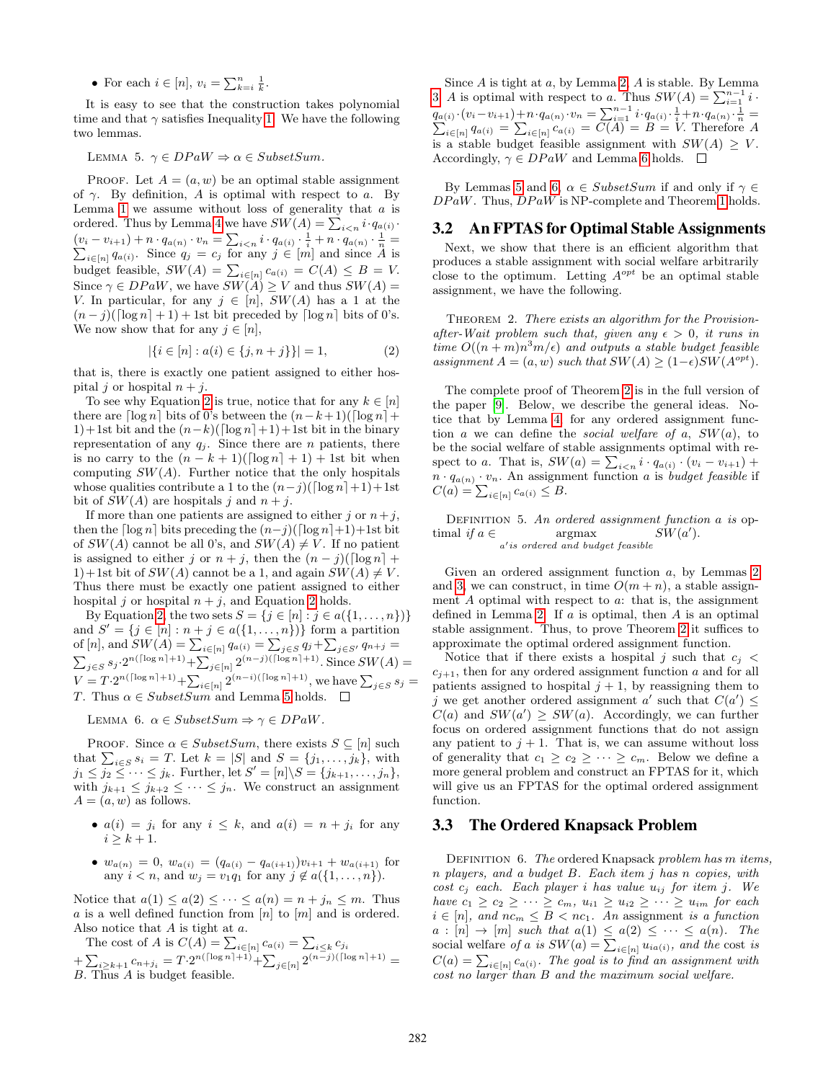• For each  $i \in [n], v_i = \sum_{k=i}^n \frac{1}{k}$ .

It is easy to see that the construction takes polynomial time and that  $\gamma$  satisfies Inequality [1.](#page-3-6) We have the following two lemmas.

<span id="page-4-3"></span>LEMMA 5.  $\gamma \in DPaW \Rightarrow \alpha \in SubsetSum$ .

PROOF. Let  $A = (a, w)$  be an optimal stable assignment of  $\gamma$ . By definition, A is optimal with respect to a. By Lemma [1](#page-3-5) we assume without loss of generality that  $a$  is ordered. Thus by Lemma [4](#page-3-7) we have  $SW(A) = \sum_{i \leq n} i \cdot q_{a(i)}$ .  $(v_i - v_{i+1}) + n \cdot q_{a(n)} \cdot v_n = \sum_{i \le n} i \cdot q_{a(i)} \cdot \frac{1}{i} + n \cdot q_{a(n)} \cdot \frac{1}{n} = \sum_{i \in [n]} q_{a(i)}$ . Since  $q_j = c_j$  for any  $j \in [m]$  and since A is budget feasible,  $SW(A) = \sum_{i \in [n]} c_{a(i)} = C(A) \leq B = V$ . Since  $\gamma \in DPaW$ , we have  $SW(A) \geq V$  and thus  $SW(A) =$ V. In particular, for any  $j \in [n]$ ,  $SW(A)$  has a 1 at the  $(n - j)(\lceil \log n \rceil + 1) + 1$ st bit preceded by  $\lceil \log n \rceil$  bits of 0's. We now show that for any  $j \in [n]$ ,

<span id="page-4-2"></span>
$$
|\{i \in [n] : a(i) \in \{j, n+j\}\}| = 1,
$$
\n(2)

that is, there is exactly one patient assigned to either hospital j or hospital  $n + j$ .

To see why Equation [2](#page-4-2) is true, notice that for any  $k \in [n]$ there are  $\lceil \log n \rceil$  bits of 0's between the  $(n-k+1)(\lceil \log n \rceil +$ 1)+1st bit and the  $(n-k)(\lceil \log n \rceil+1)+1$ st bit in the binary representation of any  $q_j$ . Since there are n patients, there is no carry to the  $(n - k + 1)(\lceil \log n \rceil + 1) + 1$ st bit when computing  $SW(A)$ . Further notice that the only hospitals whose qualities contribute a 1 to the  $(n-j)(\lceil \log n \rceil+1)+1$ st bit of  $SW(A)$  are hospitals j and  $n + j$ .

If more than one patients are assigned to either j or  $n+j$ . then the  $\lceil \log n \rceil$  bits preceding the  $(n-i)(\lceil \log n \rceil+1)+1$ st bit of  $SW(A)$  cannot be all 0's, and  $SW(A) \neq V$ . If no patient is assigned to either j or  $n + j$ , then the  $(n - j)(\lceil \log n \rceil +$ 1)+1st bit of  $SW(A)$  cannot be a 1, and again  $SW(A) \neq V$ . Thus there must be exactly one patient assigned to either hospital j or hospital  $n + j$ , and Equation [2](#page-4-2) holds.

By Equation [2,](#page-4-2) the two sets  $S = \{j \in [n] : j \in a(\{1, ..., n\})\}\$ and  $S' = \{j \in [n] : n + j \in a(\{1, \ldots, n\})\}$  form a partition of [n], and  $SW(A) = \sum_{i \in [n]} q_{a(i)} = \sum_{j \in S} q_j + \sum_{j \in S'} q_{n+j} =$  $\sum_{j \in S} s_j \cdot 2^{n(\lceil \log n \rceil + 1)} + \sum_{j \in [n]} 2^{(n-j)(\lceil \log n \rceil + 1)}$ . Since  $SW(A)$  $V = T \cdot 2^{n(\lceil \log n \rceil + 1)} + \sum_{i \in [n]} 2^{(n-i)(\lceil \log n \rceil + 1)},$  we have  $\sum_{j \in S} s_j =$ T. Thus  $\alpha \in SubsetSum$  and Lemma [5](#page-4-3) holds.

<span id="page-4-4"></span>LEMMA 6.  $\alpha \in SubsetSum \Rightarrow \gamma \in DPaW$ .

PROOF. Since  $\alpha \in SubsetSum$ , there exists  $S \subseteq [n]$  such that  $\sum_{i \in S} s_i = T$ . Let  $k = |S|$  and  $S = \{j_1, \ldots, j_k\}$ , with  $j_1 \leq j_2 \leq \cdots \leq j_k$ . Further, let  $S' = [n] \backslash S = \{j_{k+1}, \ldots, j_n\},$ with  $j_{k+1} \leq j_{k+2} \leq \cdots \leq j_n$ . We construct an assignment  $A = (a, w)$  as follows.

- $a(i) = j_i$  for any  $i \leq k$ , and  $a(i) = n + j_i$  for any  $i \geq k+1$ .
- $w_{a(n)} = 0$ ,  $w_{a(i)} = (q_{a(i)} q_{a(i+1)})v_{i+1} + w_{a(i+1)}$  for any  $i < n$ , and  $w_j = v_1 q_1$  for any  $j \notin a({1, ..., n}).$

Notice that  $a(1) \leq a(2) \leq \cdots \leq a(n) = n + j_n \leq m$ . Thus  $a$  is a well defined function from  $\left[n\right]$  to  $\left[m\right]$  and is ordered. Also notice that  $A$  is tight at  $a$ .

The cost of A is  $C(A) = \sum_{i \in [n]} c_{a(i)} = \sum_{i \leq k} c_{j_i}$  $+\sum_{i\geq k+1}c_{n+j_i}=T\cdot2^{n(\lceil\log n\rceil+1)}+\sum_{j\in[n]}2^{(n-j)(\lceil\log n\rceil+1)}=$ 

B. Thus A is budget feasible.

Since  $A$  is tight at  $a$ , by Lemma [2,](#page-3-8)  $A$  is stable. By Lemma [3,](#page-3-4) A is optimal with respect to a. Thus  $SW(A) = \sum_{i=1}^{n-1} i$ .  $q_{a(i)} \cdot (v_i - v_{i+1}) + n \cdot q_{a(n)} \cdot v_n = \sum_{i=1}^{n-1} i \cdot q_{a(i)} \cdot \frac{1}{i} + n \cdot q_{a(n)} \cdot \frac{1}{n} = \sum_{i \in [n]} q_{a(i)} = \sum_{i \in [n]} c_{a(i)} = C(A) = B = V$ . Therefore A is a stable budget feasible assignment with  $SW(A) \geq V$ . Accordingly,  $\gamma \in DPaW$  and Lemma [6](#page-4-4) holds.  $\square$ 

By Lemmas [5](#page-4-3) and [6,](#page-4-4)  $\alpha \in SubsetSum$  if and only if  $\gamma \in$  $DPaW$ . Thus,  $DPaW$  is NP-complete and Theorem [1](#page-3-1) holds.

#### <span id="page-4-1"></span>3.2 An FPTAS for Optimal Stable Assignments

Next, we show that there is an efficient algorithm that produces a stable assignment with social welfare arbitrarily close to the optimum. Letting  $A^{opt}$  be an optimal stable assignment, we have the following.

<span id="page-4-0"></span>THEOREM 2. There exists an algorithm for the Provisionafter-Wait problem such that, given any  $\epsilon > 0$ , it runs in time  $O((n+m)n^3m/\epsilon)$  and outputs a stable budget feasible assignment  $A = (a, w)$  such that  $SW(A) \geq (1 - \epsilon)SW(A^{opt}).$ 

The complete proof of Theorem [2](#page-4-0) is in the full version of the paper [\[9\]](#page-8-6). Below, we describe the general ideas. Notice that by Lemma [4,](#page-3-7) for any ordered assignment function a we can define the *social welfare of a*,  $SW(a)$ , to be the social welfare of stable assignments optimal with respect to a. That is,  $SW(a) = \sum_{i \leq n} i \cdot q_{a(i)} \cdot (v_i - v_{i+1}) +$  $n \cdot q_{a(n)} \cdot v_n$ . An assignment function a is *budget feasible* if  $C(a) = \sum_{i \in [n]} c_{a(i)} \leq B.$ 

DEFINITION 5. An ordered assignment function  $a$  is optimal if  $a \in \text{argmax}$  $a'$ is ordered and budget feasible  $SW(a').$ 

Given an ordered assignment function a, by Lemmas [2](#page-3-8) and [3,](#page-3-4) we can construct, in time  $O(m + n)$ , a stable assignment  $A$  optimal with respect to  $a$ : that is, the assignment defined in Lemma [2.](#page-3-8) If  $a$  is optimal, then  $A$  is an optimal stable assignment. Thus, to prove Theorem [2](#page-4-0) it suffices to approximate the optimal ordered assignment function.

Notice that if there exists a hospital j such that  $c_i$  <  $c_{i+1}$ , then for any ordered assignment function a and for all patients assigned to hospital  $j + 1$ , by reassigning them to j we get another ordered assignment a' such that  $C(a') \leq$  $C(a)$  and  $SW(a') \geq SW(a)$ . Accordingly, we can further focus on ordered assignment functions that do not assign any patient to  $j + 1$ . That is, we can assume without loss of generality that  $c_1 \geq c_2 \geq \cdots \geq c_m$ . Below we define a more general problem and construct an FPTAS for it, which will give us an FPTAS for the optimal ordered assignment function.

## 3.3 The Ordered Knapsack Problem

DEFINITION 6. The ordered Knapsack problem has m items, n players, and a budget B. Each item j has n copies, with cost  $c_j$  each. Each player i has value  $u_{ij}$  for item j. We have  $c_1 \geq c_2 \geq \cdots \geq c_m$ ,  $u_{i1} \geq u_{i2} \geq \cdots \geq u_{im}$  for each  $i \in [n]$ , and  $nc_m \leq B < nc_1$ . An assignment is a function  $a : [n] \rightarrow [m]$  such that  $a(1) \leq a(2) \leq \cdots \leq a(n)$ . The social welfare of a is  $SW(a) = \sum_{i \in [n]} u_{ia(i)}$ , and the cost is  $C(a) = \sum_{i \in [n]} c_{a(i)}$ . The goal is to find an assignment with cost no larger than B and the maximum social welfare.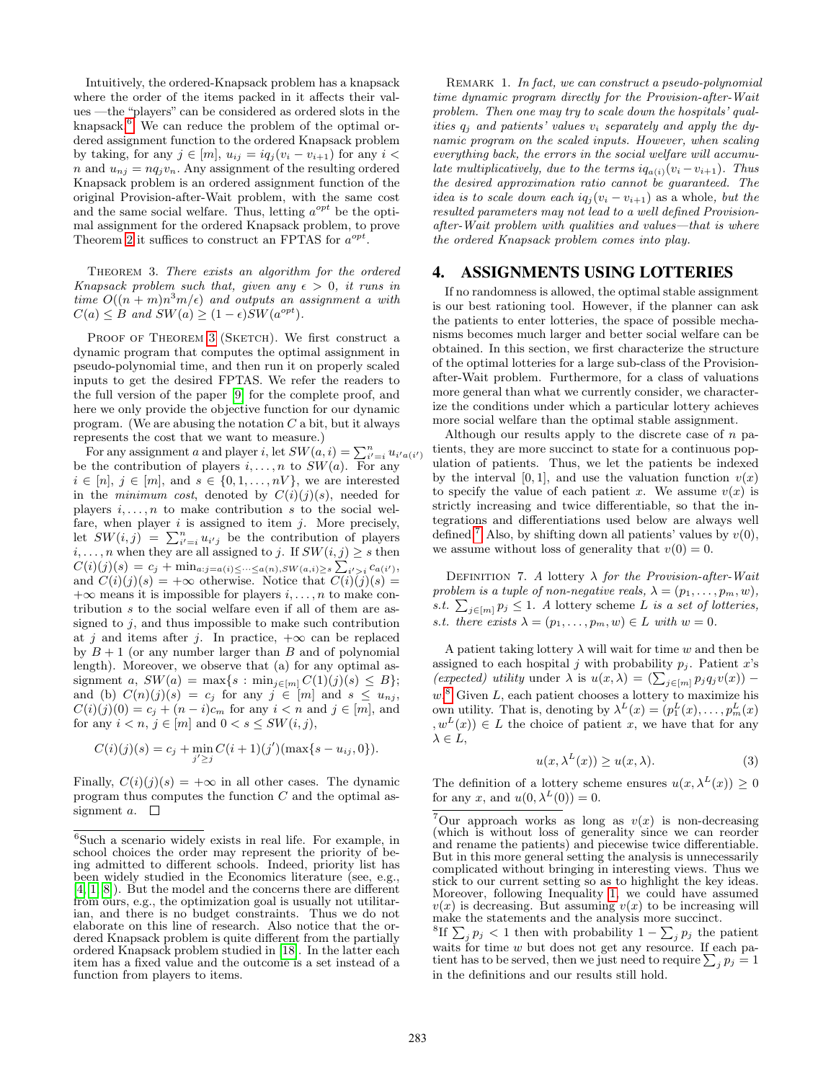Intuitively, the ordered-Knapsack problem has a knapsack where the order of the items packed in it affects their values —the "players" can be considered as ordered slots in the knapsack.<sup>[6](#page-5-1)</sup> We can reduce the problem of the optimal ordered assignment function to the ordered Knapsack problem by taking, for any  $j \in [m]$ ,  $u_{ij} = iq_j(v_i - v_{i+1})$  for any  $i <$ n and  $u_{ni} = nq_i v_n$ . Any assignment of the resulting ordered Knapsack problem is an ordered assignment function of the original Provision-after-Wait problem, with the same cost and the same social welfare. Thus, letting  $a^{opt}$  be the optimal assignment for the ordered Knapsack problem, to prove Theorem [2](#page-4-0) it suffices to construct an FPTAS for  $a^{opt}$ .

<span id="page-5-2"></span>Theorem 3. There exists an algorithm for the ordered Knapsack problem such that, given any  $\epsilon > 0$ , it runs in time  $O((n + m)n^3m/\epsilon)$  and outputs an assignment a with  $C(a) \leq B$  and  $SW(a) \geq (1 - \epsilon)SW(a^{opt}).$ 

PROOF OF THEOREM [3](#page-5-2) (SKETCH). We first construct a dynamic program that computes the optimal assignment in pseudo-polynomial time, and then run it on properly scaled inputs to get the desired FPTAS. We refer the readers to the full version of the paper [\[9\]](#page-8-6) for the complete proof, and here we only provide the objective function for our dynamic program. (We are abusing the notation  $C$  a bit, but it always represents the cost that we want to measure.)

For any assignment a and player i, let  $SW(a, i) = \sum_{i'=i}^{n} u_{i'a(i')}$ be the contribution of players  $i, \ldots, n$  to  $SW(a)$ . For any  $i \in [n], j \in [m],$  and  $s \in \{0, 1, ..., nV\}$ , we are interested in the minimum cost, denoted by  $C(i)(j)(s)$ , needed for players  $i, \ldots, n$  to make contribution s to the social welfare, when player  $i$  is assigned to item  $j$ . More precisely, let  $SW(i, j) = \sum_{i'=i}^{n} u_{i'j}$  be the contribution of players  $i, \ldots, n$  when they are all assigned to j. If  $SW(i, j) \geq s$  then  $C(i)(j)(s) = c_j + \min_{a:j = a(i) \leq \cdots \leq a(n), SW(a,i) \geq s} \sum_{i' > i} c_{a(i')}$ and  $C(i)(j)(s) = +\infty$  otherwise. Notice that  $C(i)(j)(s) =$  $+\infty$  means it is impossible for players  $i, \ldots, n$  to make contribution s to the social welfare even if all of them are assigned to  $j$ , and thus impossible to make such contribution at j and items after j. In practice,  $+\infty$  can be replaced by  $B + 1$  (or any number larger than B and of polynomial length). Moreover, we observe that (a) for any optimal assignment a,  $SW(a) = \max\{s : \min_{j \in [m]} C(1)(j)(s) \leq B\};$ and (b)  $C(n)(j)(s) = c_j$  for any  $j \in [m]$  and  $s \leq u_{nj}$ ,  $C(i)(j)(0) = c_j + (n - i)c_m$  for any  $i < n$  and  $j \in [m]$ , and for any  $i < n, j \in [m]$  and  $0 < s \leq SW(i, j)$ ,

$$
C(i)(j)(s) = c_j + \min_{j' \ge j} C(i+1)(j')(\max\{s-u_{ij},0\}).
$$

Finally,  $C(i)(j)(s) = +\infty$  in all other cases. The dynamic program thus computes the function C and the optimal assignment a.  $\square$ 

REMARK 1. In fact, we can construct a pseudo-polynomial time dynamic program directly for the Provision-after-Wait problem. Then one may try to scale down the hospitals' qualities  $q_i$  and patients' values  $v_i$  separately and apply the dynamic program on the scaled inputs. However, when scaling everything back, the errors in the social welfare will accumulate multiplicatively, due to the terms  $iq_{a(i)}(v_i - v_{i+1})$ . Thus the desired approximation ratio cannot be guaranteed. The idea is to scale down each  $iq_i(v_i - v_{i+1})$  as a whole, but the resulted parameters may not lead to a well defined Provisionafter-Wait problem with qualities and values—that is where the ordered Knapsack problem comes into play.

## <span id="page-5-0"></span>4. ASSIGNMENTS USING LOTTERIES

If no randomness is allowed, the optimal stable assignment is our best rationing tool. However, if the planner can ask the patients to enter lotteries, the space of possible mechanisms becomes much larger and better social welfare can be obtained. In this section, we first characterize the structure of the optimal lotteries for a large sub-class of the Provisionafter-Wait problem. Furthermore, for a class of valuations more general than what we currently consider, we characterize the conditions under which a particular lottery achieves more social welfare than the optimal stable assignment.

Although our results apply to the discrete case of  $n$  patients, they are more succinct to state for a continuous population of patients. Thus, we let the patients be indexed by the interval [0, 1], and use the valuation function  $v(x)$ to specify the value of each patient x. We assume  $v(x)$  is strictly increasing and twice differentiable, so that the integrations and differentiations used below are always well defined.<sup>[7](#page-5-3)</sup> Also, by shifting down all patients' values by  $v(0)$ , we assume without loss of generality that  $v(0) = 0$ .

DEFINITION 7. A lottery  $\lambda$  for the Provision-after-Wait problem is a tuple of non-negative reals,  $\lambda = (p_1, \ldots, p_m, w)$ , s.t.  $\sum_{j \in [m]} p_j \leq 1$ . A lottery scheme L is a set of lotteries, s.t. there exists  $\lambda = (p_1, \ldots, p_m, w) \in L$  with  $w = 0$ .

A patient taking lottery  $\lambda$  will wait for time w and then be assigned to each hospital j with probability  $p_j$ . Patient x's (expected) utility under  $\lambda$  is  $u(x, \lambda) = (\sum_{j \in [m]} p_j q_j v(x))$  –  $w^8$  $w^8$  Given L, each patient chooses a lottery to maximize his own utility. That is, denoting by  $\lambda^L(x) = (p_1^L(x), \ldots, p_m^L(x))$  $, w<sup>L</sup>(x)$   $\in$  L the choice of patient x, we have that for any  $\lambda \in L$ ,

$$
u(x, \lambda^{L}(x)) \ge u(x, \lambda).
$$
 (3)

The definition of a lottery scheme ensures  $u(x, \lambda^{L}(x)) \geq 0$ for any x, and  $u(0, \lambda^{L}(0)) = 0$ .

<span id="page-5-1"></span><sup>6</sup>Such a scenario widely exists in real life. For example, in school choices the order may represent the priority of being admitted to different schools. Indeed, priority list has been widely studied in the Economics literature (see, e.g., [\[4,](#page-8-17) [1,](#page-8-18) [8\]](#page-8-19)). But the model and the concerns there are different from ours, e.g., the optimization goal is usually not utilitarian, and there is no budget constraints. Thus we do not elaborate on this line of research. Also notice that the ordered Knapsack problem is quite different from the partially ordered Knapsack problem studied in [\[18\]](#page-8-20). In the latter each item has a fixed value and the outcome is a set instead of a function from players to items.

<span id="page-5-3"></span><sup>&</sup>lt;sup>7</sup>Our approach works as long as  $v(x)$  is non-decreasing (which is without loss of generality since we can reorder and rename the patients) and piecewise twice differentiable. But in this more general setting the analysis is unnecessarily complicated without bringing in interesting views. Thus we stick to our current setting so as to highlight the key ideas. Moreover, following Inequality [1,](#page-3-6) we could have assumed  $v(x)$  is decreasing. But assuming  $v(x)$  to be increasing will make the statements and the analysis more succinct.

<span id="page-5-4"></span><sup>&</sup>lt;sup>8</sup>If  $\sum_j p_j < 1$  then with probability  $1 - \sum_j p_j$  the patient waits for time  $w$  but does not get any resource. If each patient has to be served, then we just need to require  $\sum_j p_j = 1$ in the definitions and our results still hold.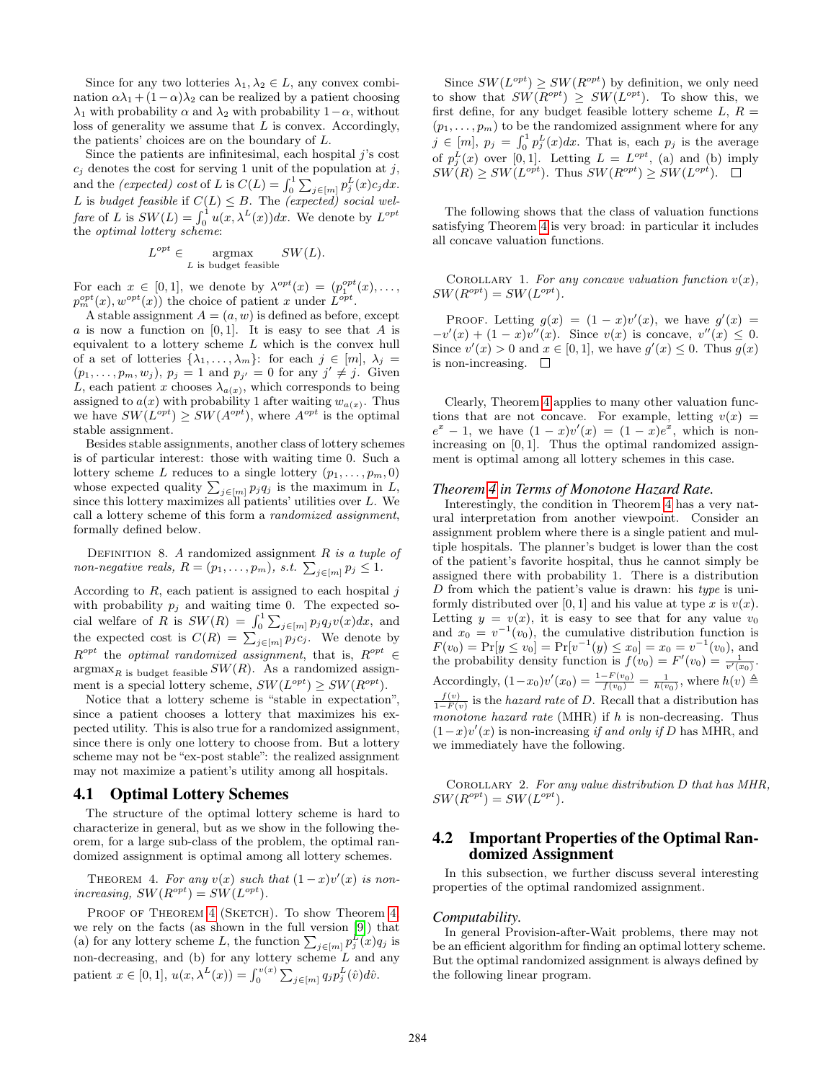Since for any two lotteries  $\lambda_1, \lambda_2 \in L$ , any convex combination  $\alpha \lambda_1 + (1 - \alpha) \lambda_2$  can be realized by a patient choosing  $\lambda_1$  with probability  $\alpha$  and  $\lambda_2$  with probability  $1-\alpha$ , without loss of generality we assume that  $L$  is convex. Accordingly, the patients' choices are on the boundary of L.

Since the patients are infinitesimal, each hospital  $j$ 's cost  $c_j$  denotes the cost for serving 1 unit of the population at j, and the *(expected)* cost of L is  $C(L) = \int_0^1 \sum_{j \in [m]} p_j^L(x) c_j dx$ . L is budget feasible if  $C(L) \leq B$ . The (expected) social welfare of L is  $SW(L) = \int_0^1 u(x, \lambda^L(x))dx$ . We denote by  $L^{opt}$ the optimal lottery scheme:

$$
L^{opt} \in \mathop{\mathrm{argmax}}_{L \text{ is budget feasible}} SW(L).
$$

For each  $x \in [0,1]$ , we denote by  $\lambda^{opt}(x) = (p_1^{opt}(x), \ldots,$  $p_m^{opt}(x), w^{opt}(x)$  the choice of patient x under  $L^{opt}$ .

A stable assignment  $A = (a, w)$  is defined as before, except a is now a function on  $[0, 1]$ . It is easy to see that A is equivalent to a lottery scheme  $L$  which is the convex hull of a set of lotteries  $\{\lambda_1, \ldots, \lambda_m\}$ : for each  $j \in [m]$ ,  $\lambda_j =$  $(p_1,\ldots,p_m,w_j), p_j=1 \text{ and } p_{j'}=0 \text{ for any } j'\neq j.$  Given L, each patient x chooses  $\lambda_{a(x)}$ , which corresponds to being assigned to  $a(x)$  with probability 1 after waiting  $w_{a(x)}$ . Thus we have  $SW(L^{opt}) \geq SW(A^{opt})$ , where  $A^{opt}$  is the optimal stable assignment.

Besides stable assignments, another class of lottery schemes is of particular interest: those with waiting time 0. Such a lottery scheme L reduces to a single lottery  $(p_1, \ldots, p_m, 0)$ whose expected quality  $\sum_{j \in [m]} p_j q_j$  is the maximum in L, since this lottery maximizes all patients' utilities over L. We call a lottery scheme of this form a randomized assignment, formally defined below.

DEFINITION 8. A randomized assignment  $R$  is a tuple of non-negative reals,  $R = (p_1, \ldots, p_m)$ , s.t.  $\sum_{j \in [m]} p_j \leq 1$ .

According to  $R$ , each patient is assigned to each hospital  $j$ with probability  $p_i$  and waiting time 0. The expected social welfare of R is  $SW(R) = \int_0^1 \sum_{j \in [m]} p_j q_j v(x) dx$ , and the expected cost is  $C(R) = \sum_{j \in [m]} p_j c_j$ . We denote by  $R^{opt}$  the optimal randomized assignment, that is,  $R^{opt} \in$  $\lim_{R \to \infty}$  is budget feasible  $SW(R)$ . As a randomized assignment is a special lottery scheme,  $SW(L^{opt}) \geq SW(R^{opt})$ .

Notice that a lottery scheme is "stable in expectation", since a patient chooses a lottery that maximizes his expected utility. This is also true for a randomized assignment, since there is only one lottery to choose from. But a lottery scheme may not be "ex-post stable": the realized assignment may not maximize a patient's utility among all hospitals.

## <span id="page-6-1"></span>4.1 Optimal Lottery Schemes

The structure of the optimal lottery scheme is hard to characterize in general, but as we show in the following theorem, for a large sub-class of the problem, the optimal randomized assignment is optimal among all lottery schemes.

<span id="page-6-0"></span>THEOREM 4. For any  $v(x)$  such that  $(1-x)v'(x)$  is nonincreasing,  $SW(R^{opt}) = SW(L^{opt})$ .

PROOF OF THEOREM [4](#page-6-0) (SKETCH). To show Theorem [4,](#page-6-0) we rely on the facts (as shown in the full version [\[9\]](#page-8-6)) that (a) for any lottery scheme L, the function  $\sum_{j \in [m]} p_j^L(x) q_j$  is non-decreasing, and (b) for any lottery scheme  $L$  and any patient  $x \in [0, 1], u(x, \lambda^L(x)) = \int_0^{v(x)} \sum_{j \in [m]} q_j p_j^L(\hat{v}) d\hat{v}.$ 

Since  $SW(L^{opt}) \geq SW(R^{opt})$  by definition, we only need to show that  $SW(R^{opt}) \geq SW(L^{opt})$ . To show this, we first define, for any budget feasible lottery scheme  $L, R =$  $(p_1, \ldots, p_m)$  to be the randomized assignment where for any  $j \in [m], p_j = \int_0^1 p_j^L(x) dx$ . That is, each  $p_j$  is the average of  $p_j^L(x)$  over [0,1]. Letting  $L = L^{opt}$ , (a) and (b) imply  $SW(R) \geq SW(L^{opt})$ . Thus  $SW(R^{opt}) \geq SW(L^{opt})$ .

The following shows that the class of valuation functions satisfying Theorem [4](#page-6-0) is very broad: in particular it includes all concave valuation functions.

COROLLARY 1. For any concave valuation function  $v(x)$ ,  $SW(R^{opt}) = SW(L^{opt}).$ 

PROOF. Letting  $g(x) = (1-x)v'(x)$ , we have  $g'(x) =$  $-v'(x) + (1-x)v''(x)$ . Since  $v(x)$  is concave,  $v''(x) \leq 0$ . Since  $v'(x) > 0$  and  $x \in [0,1]$ , we have  $g'(x) \leq 0$ . Thus  $g(x)$ is non-increasing.  $\square$ 

Clearly, Theorem [4](#page-6-0) applies to many other valuation functions that are not concave. For example, letting  $v(x) =$  $e^x - 1$ , we have  $(1 - x)v'(x) = (1 - x)e^x$ , which is nonincreasing on [0, 1]. Thus the optimal randomized assignment is optimal among all lottery schemes in this case.

#### *Theorem [4](#page-6-0) in Terms of Monotone Hazard Rate.*

Interestingly, the condition in Theorem [4](#page-6-0) has a very natural interpretation from another viewpoint. Consider an assignment problem where there is a single patient and multiple hospitals. The planner's budget is lower than the cost of the patient's favorite hospital, thus he cannot simply be assigned there with probability 1. There is a distribution  $D$  from which the patient's value is drawn: his type is uniformly distributed over [0, 1] and his value at type x is  $v(x)$ . Letting  $y = v(x)$ , it is easy to see that for any value  $v_0$ and  $x_0 = v^{-1}(v_0)$ , the cumulative distribution function is  $F(v_0) = Pr[y \le v_0] = Pr[v^{-1}(y) \le x_0] = x_0 = v^{-1}(v_0)$ , and the probability density function is  $f(v_0) = F'(v_0) = \frac{1}{v'(x_0)}$ . Accordingly,  $(1-x_0)v'(x_0) = \frac{1-F(v_0)}{f(v_0)} = \frac{1}{h(v_0)}$ , where  $h(v) \triangleq$  $\frac{f(v)}{1-F(v)}$  is the hazard rate of D. Recall that a distribution has monotone hazard rate (MHR) if  $h$  is non-decreasing. Thus  $(1-x)v'(x)$  is non-increasing if and only if D has MHR, and we immediately have the following.

COROLLARY 2. For any value distribution D that has MHR,  $SW(R^{opt}) = SW(L^{opt}).$ 

## <span id="page-6-2"></span>4.2 Important Properties of the Optimal Randomized Assignment

In this subsection, we further discuss several interesting properties of the optimal randomized assignment.

#### *Computability.*

In general Provision-after-Wait problems, there may not be an efficient algorithm for finding an optimal lottery scheme. But the optimal randomized assignment is always defined by the following linear program.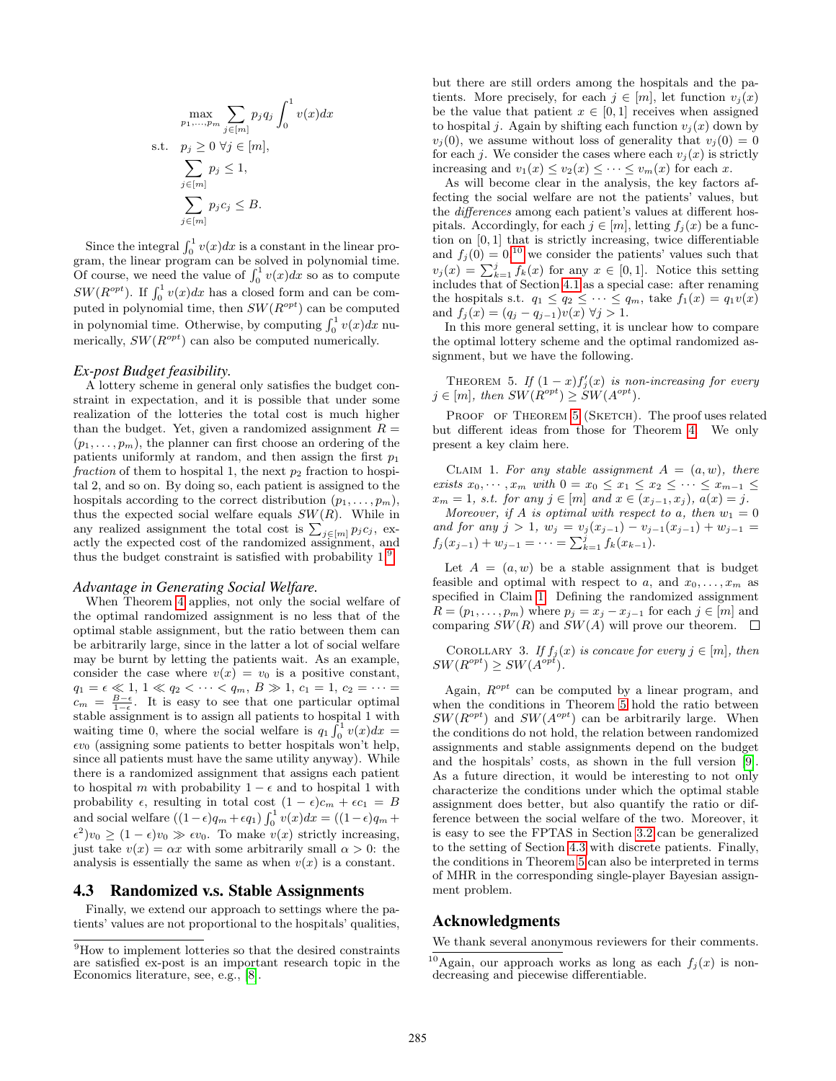$$
\max_{p_1, \dots, p_m} \sum_{j \in [m]} p_j q_j \int_0^1 v(x) dx
$$
\ns.t.  $p_j \ge 0 \ \forall j \in [m],$   
\n
$$
\sum_{j \in [m]} p_j \le 1,
$$
  
\n
$$
\sum_{j \in [m]} p_j c_j \le B.
$$

Since the integral  $\int_0^1 v(x)dx$  is a constant in the linear program, the linear program can be solved in polynomial time. Of course, we need the value of  $\int_0^1 v(x)dx$  so as to compute  $SW(R^{opt})$ . If  $\int_0^1 v(x)dx$  has a closed form and can be computed in polynomial time, then  $SW(R^{opt})$  can be computed in polynomial time. Otherwise, by computing  $\int_0^1 v(x)dx$  numerically,  $SW(R^{opt})$  can also be computed numerically.

## *Ex-post Budget feasibility.*

A lottery scheme in general only satisfies the budget constraint in expectation, and it is possible that under some realization of the lotteries the total cost is much higher than the budget. Yet, given a randomized assignment  $R =$  $(p_1, \ldots, p_m)$ , the planner can first choose an ordering of the patients uniformly at random, and then assign the first  $p_1$ fraction of them to hospital 1, the next  $p_2$  fraction to hospital 2, and so on. By doing so, each patient is assigned to the hospitals according to the correct distribution  $(p_1, \ldots, p_m)$ , thus the expected social welfare equals  $SW(R)$ . While in any realized assignment the total cost is  $\sum_{j \in [m]} p_j c_j$ , exactly the expected cost of the randomized assignment, and thus the budget constraint is satisfied with probability 1.[9](#page-7-2)

## *Advantage in Generating Social Welfare.*

When Theorem [4](#page-6-0) applies, not only the social welfare of the optimal randomized assignment is no less that of the optimal stable assignment, but the ratio between them can be arbitrarily large, since in the latter a lot of social welfare may be burnt by letting the patients wait. As an example, consider the case where  $v(x) = v_0$  is a positive constant,  $q_1 = \epsilon \ll 1, 1 \ll q_2 < \cdots < q_m, B \gg 1, c_1 = 1, c_2 = \cdots =$  $c_m = \frac{B-\epsilon}{1-\epsilon}$ . It is easy to see that one particular optimal stable assignment is to assign all patients to hospital 1 with waiting time 0, where the social welfare is  $q_1 \hat{f}_0^1 v(x) dx =$  $\epsilon v_0$  (assigning some patients to better hospitals won't help, since all patients must have the same utility anyway). While there is a randomized assignment that assigns each patient to hospital m with probability  $1 - \epsilon$  and to hospital 1 with probability  $\epsilon$ , resulting in total cost  $(1 - \epsilon)c_m + \epsilon c_1 = B$ and social welfare  $((1 - \epsilon)q_m + \epsilon q_1) \int_0^1 v(x) dx = ((1 - \epsilon)q_m +$  $\epsilon^2$ ) $v_0 \ge (1 - \epsilon)v_0 \gg \epsilon v_0$ . To make  $v(x)$  strictly increasing, just take  $v(x) = \alpha x$  with some arbitrarily small  $\alpha > 0$ : the analysis is essentially the same as when  $v(x)$  is a constant.

## <span id="page-7-1"></span>4.3 Randomized v.s. Stable Assignments

Finally, we extend our approach to settings where the patients' values are not proportional to the hospitals' qualities, but there are still orders among the hospitals and the patients. More precisely, for each  $j \in [m]$ , let function  $v_j(x)$ be the value that patient  $x \in [0, 1]$  receives when assigned to hospital *j*. Again by shifting each function  $v_i(x)$  down by  $v_i(0)$ , we assume without loss of generality that  $v_i(0) = 0$ for each j. We consider the cases where each  $v_i(x)$  is strictly increasing and  $v_1(x) \le v_2(x) \le \cdots \le v_m(x)$  for each x.

As will become clear in the analysis, the key factors affecting the social welfare are not the patients' values, but the differences among each patient's values at different hospitals. Accordingly, for each  $j \in [m]$ , letting  $f_j(x)$  be a function on [0, 1] that is strictly increasing, twice differentiable and  $f_j(0) = 0,$ <sup>[10](#page-7-3)</sup> we consider the patients' values such that  $v_j(x) = \sum_{k=1}^j f_k(x)$  for any  $x \in [0,1]$ . Notice this setting includes that of Section [4.1](#page-6-1) as a special case: after renaming the hospitals s.t.  $q_1 \leq q_2 \leq \cdots \leq q_m$ , take  $f_1(x) = q_1v(x)$ and  $f_j(x) = (q_j - q_{j-1})v(x) \,\forall j > 1.$ 

In this more general setting, it is unclear how to compare the optimal lottery scheme and the optimal randomized assignment, but we have the following.

<span id="page-7-0"></span>THEOREM 5. If  $(1-x)f'_{j}(x)$  is non-increasing for every  $j \in [m]$ , then  $SW(R^{opt}) \ge SW(A^{opt})$ .

PROOF OF THEOREM [5](#page-7-0) (SKETCH). The proof uses related but different ideas from those for Theorem [4.](#page-6-0) We only present a key claim here.

<span id="page-7-4"></span>CLAIM 1. For any stable assignment  $A = (a, w)$ , there exists  $x_0, \dots, x_m$  with  $0 = x_0 \le x_1 \le x_2 \le \dots \le x_{m-1} \le$  $x_m = 1$ , s.t. for any  $j \in [m]$  and  $x \in (x_{j-1}, x_j)$ ,  $a(x) = j$ .

Moreover, if A is optimal with respect to a, then  $w_1 = 0$ and for any j > 1,  $w_j = v_j(x_{j-1}) - v_{j-1}(x_{j-1}) + w_{j-1} =$  $f_j(x_{j-1}) + w_{j-1} = \cdots = \sum_{k=1}^j f_k(x_{k-1}).$ 

Let  $A = (a, w)$  be a stable assignment that is budget feasible and optimal with respect to a, and  $x_0, \ldots, x_m$  as specified in Claim [1.](#page-7-4) Defining the randomized assignment  $R = (p_1, \ldots, p_m)$  where  $p_j = x_j - x_{j-1}$  for each  $j \in [m]$  and comparing  $SW(R)$  and  $SW(A)$  will prove our theorem.  $\square$ 

COROLLARY 3. If  $f_j(x)$  is concave for every  $j \in [m]$ , then  $SW(R^{opt}) \geq SW(A^{opt}).$ 

Again,  $R^{opt}$  can be computed by a linear program, and when the conditions in Theorem [5](#page-7-0) hold the ratio between  $SW(R^{opt})$  and  $SW(A^{opt})$  can be arbitrarily large. When the conditions do not hold, the relation between randomized assignments and stable assignments depend on the budget and the hospitals' costs, as shown in the full version [\[9\]](#page-8-6). As a future direction, it would be interesting to not only characterize the conditions under which the optimal stable assignment does better, but also quantify the ratio or difference between the social welfare of the two. Moreover, it is easy to see the FPTAS in Section [3.2](#page-4-1) can be generalized to the setting of Section [4.3](#page-7-1) with discrete patients. Finally, the conditions in Theorem [5](#page-7-0) can also be interpreted in terms of MHR in the corresponding single-player Bayesian assignment problem.

## Acknowledgments

We thank several anonymous reviewers for their comments.

<span id="page-7-2"></span><sup>9</sup>How to implement lotteries so that the desired constraints are satisfied ex-post is an important research topic in the Economics literature, see, e.g., [\[8\]](#page-8-19).

<span id="page-7-3"></span><sup>&</sup>lt;sup>10</sup>Again, our approach works as long as each  $f_j(x)$  is nondecreasing and piecewise differentiable.